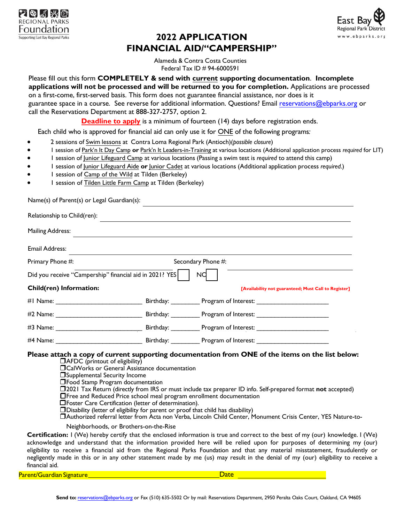



# **2022 APPLICATION FINANCIAL AID/"CAMPERSHIP"**

Alameda & Contra Costa Counties Federal Tax ID # 94-6000591

Please fill out this form **COMPLETELY & send with current supporting documentation**. **Incomplete applications will not be processed and will be returned to you for completion.** Applications are processed on a first-come, first-served basis. This form does not guarantee financial assistance, nor does is it guarantee space in a course. See reverse for additional information. Questions? Email reservations@ebparks.org or call the Reservations Department at 888-327-2757, option 2.

**Deadline to apply** is a minimum of fourteen (14) days before registration ends.

Each child who is approved for financial aid can only use it for ONE of the following programs*:*

- 2 sessions of Swim lessons at Contra Loma Regional Park (Antioch)(*possible closure*)
- 1 session of Park'n It Day Camp or Park'n It Leaders-in-Training at various locations (Additional application process *required* for LIT)
- 1 session of Junior Lifeguard Camp at various locations (Passing a swim test is *required* to attend this camp)
- 1 session of Junior Lifeguard Aide **or** Junior Cadet at various locations (Additional application process *required*.)
- 1 session of Camp of the Wild at Tilden (Berkeley)
- 1 session of Tilden Little Farm Camp at Tilden (Berkeley)

Name(s) of Parent(s) or Legal Guardian(s): Relationship to Child(ren): Mailing Address: Email Address: Primary Phone #: Secondary Phone #: Did you receive "Campership" financial aid in 2021? YES NO **Child(ren)** Information: *Child(ren)* Information: *Child(ren)* **Example 2018 Example 2018 CALL** #1 Name: example and the Birthday: The Program of Interest: #2 Name: \_\_\_\_\_\_\_\_\_\_\_\_\_\_\_\_\_\_\_\_\_\_\_\_ Birthday: \_\_\_\_\_\_\_\_ Program of Interest: \_\_\_\_\_\_\_\_\_\_\_\_\_\_\_\_\_\_\_\_ #3 Name: The Birthday: The Birthday: Program of Interest: #4 Name: \_\_\_\_\_\_\_\_\_\_\_\_\_\_\_\_\_\_\_\_\_\_\_\_ Birthday: \_\_\_\_\_\_\_\_ Program of Interest: \_\_\_\_\_\_\_\_\_\_\_\_\_\_\_\_\_\_\_\_

## **Please attach a copy of current supporting documentation from ONE of the items on the list below:**

AFDC (printout of eligibility)

CalWorks or General Assistance documentation

Supplemental Security Income

**Theod Stamp Program documentation** 

- 2021 Tax Return (directly from IRS or must include tax preparer ID info. Self-prepared format **not** accepted)
- Free and Reduced Price school meal program enrollment documentation

Foster Care Certification (letter of determination).

Disability (letter of eligibility for parent or proof that child has disability)

Authorized referral letter from Acta non Verba, Lincoln Child Center, Monument Crisis Center, YES Nature-to-

Neighborhoods, or Brothers-on-the-Rise

**Certification:** I (We) hereby certify that the enclosed information is true and correct to the best of my (our) knowledge. I (We) acknowledge and understand that the information provided here will be relied upon for purposes of determining my (our) eligibility to receive a financial aid from the Regional Parks Foundation and that any material misstatement, fraudulently or negligently made in this or in any other statement made by me (us) may result in the denial of my (our) eligibility to receive a financial aid.

Parent/Guardian Signature Research Control of the Date Date Date Date